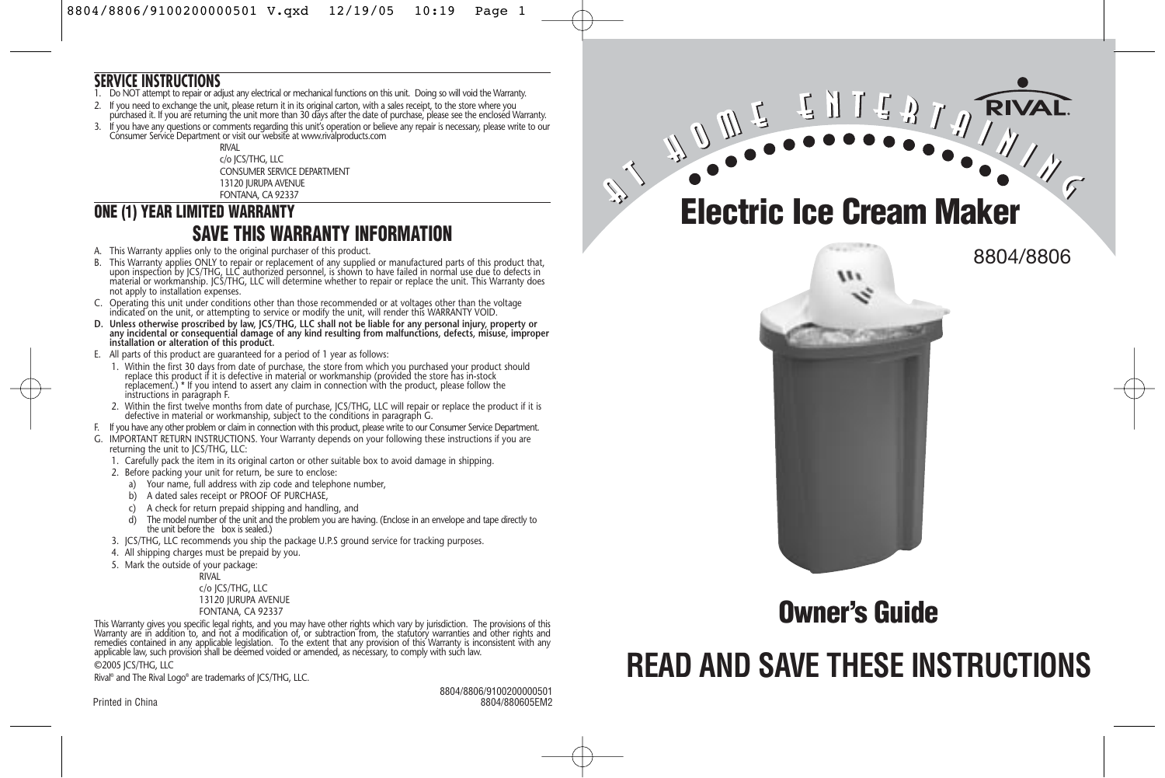#### **SERVICE INSTRUCTIONS**

- 1. Do NOT attempt to repair or adjust any electrical or mechanical functions on this unit. Doing so will void the Warranty.
- 2. If you need to exchange the unit, please return it in its original carton, with a sales receipt, to the store where you purchased it. If you are returning the unit more than 30 days after the date of purchase, please see the enclosed Warranty.
- 3. If you have any questions or comments regarding this unit's operation or believe any repair is necessary, please write to our Consumer Service Department or visit our website at www.rivalproducts.com

RIVAL c/o JCS/THG, LLC CONSUMER SERVICE DEPARTMENT 13120 JURUPA AVENUE FONTANA, CA 92337

## **ONE (1) YEAR LIMITED WARRANTY SAVE THIS WARRANTY INFORMATION**

- A. This Warranty applies only to the original purchaser of this product.
- B. This Warranty applies ONLY to repair or replacement of any supplied or manufactured parts of this product that, upon inspection by JCS/THG, LLC authorized personnel, is shown to have failed in normal use due to defects in material or workmanship. JCS/THG, LLC will determine whether to repair or replace the unit. This Warranty does not apply to installation expenses.
- C. Operating this unit under conditions other than those recommended or at voltages other than the voltage indicated on the unit, or attempting to service or modify the unit, will render this WARRANTY VOID.
- **D. Unless otherwise proscribed by law, JCS/THG, LLC shall not be liable for any personal injury, property or any incidental or consequential damage of any kind resulting from malfunctions, defects, misuse, improper installation or alteration of this product.**
- E. All parts of this product are guaranteed for a period of 1 year as follows:
- 1. Within the first 30 days from date of purchase, the store from which you purchased your product should replace this product if it is defective in material or workmanship (provided the store has in-stock replacement.) \* If you intend to assert any claim in connection with the product, please follow the instructions in paragraph F.
- 2. Within the first twelve months from date of purchase, JCS/THG, LLC will repair or replace the product if it is defective in material or workmanship, subject to the conditions in paragraph G.
- F. If you have any other problem or claim in connection with this product, please write to our Consumer Service Department.
- IMPORTANT RETURN INSTRUCTIONS. Your Warranty depends on your following these instructions if you are returning the unit to JCS/THG, LLC:
	- 1. Carefully pack the item in its original carton or other suitable box to avoid damage in shipping.
- 2. Before packing your unit for return, be sure to enclose:
	- a) Your name, full address with zip code and telephone number,
	- b) A dated sales receipt or PROOF OF PURCHASE,
	- c) A check for return prepaid shipping and handling, and
	- d) The model number of the unit and the problem you are having. (Enclose in an envelope and tape directly to the unit before the box is sealed.)
- 3. JCS/THG, LLC recommends you ship the package U.P.S ground service for tracking purposes.
- 4. All shipping charges must be prepaid by you.
- 5. Mark the outside of your package:

RIVAL c/o JCS/THG, LLC 13120 JURUPA AVENUE FONTANA, CA 92337

This Warranty gives you specific legal rights, and you may have other rights which vary by jurisdiction. The provisions of this<br>Warranty are in addition to, and not a modification of, or subtraction from, the statutory wa remedies contained in any applicable legislation. To the extent that any provision of this Warranty is inconsistent with any applicable law, such provision shall be deemed voided or amended, as necessary, to comply with such law. ©2005 JCS/THG, LLC

Rival® and The Rival Logo® are trademarks of JCS/THG, LLC.

8804/8806/9100200000501 Printed in China 8804/880605EM2 **Electric Ice Cream Maker**

**RIVAI** 



**Owner's Guide**

# **READ AND SAVE THESE INSTRUCTIONS**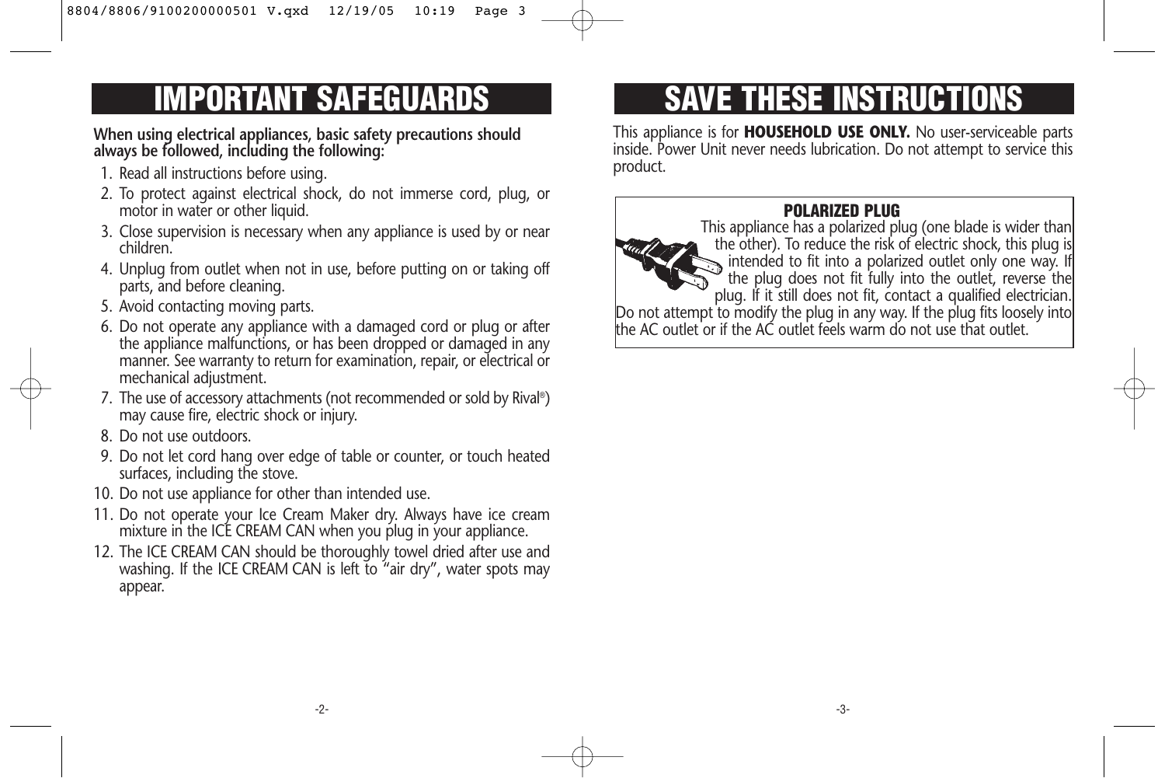**When using electrical appliances, basic safety precautions should always be followed, including the following:** 

- 1. Read all instructions before using.
- 2. To protect against electrical shock, do not immerse cord, plug, or motor in water or other liquid.
- 3. Close supervision is necessary when any appliance is used by or near children.
- 4. Unplug from outlet when not in use, before putting on or taking off parts, and before cleaning.
- 5. Avoid contacting moving parts.
- 6. Do not operate any appliance with a damaged cord or plug or after the appliance malfunctions, or has been dropped or damaged in any manner. See warranty to return for examination, repair, or electrical or mechanical adjustment.
- 7. The use of accessory attachments (not recommended or sold by Rival®) may cause fire, electric shock or injury.
- 8. Do not use outdoors.
- 9. Do not let cord hang over edge of table or counter, or touch heated surfaces, including the stove.
- 10. Do not use appliance for other than intended use.
- 11. Do not operate your Ice Cream Maker dry. Always have ice cream mixture in the ICE CREAM CAN when you plug in your appliance.
- 12. The ICE CREAM CAN should be thoroughly towel dried after use and washing. If the ICE CREAM CAN is left to "air dry", water spots may appear.

# **IMPORTANT SAFEGUARDS SAVE THESE INSTRUCTIONS**

This appliance is for **HOUSEHOLD USE ONLY.** No user-serviceable parts inside. Power Unit never needs lubrication. Do not attempt to service this product.

# **POLARIZED PLUG**

This appliance has a polarized plug (one blade is wider than the other). To reduce the risk of electric shock, this plug is intended to fit into a polarized outlet only one way. If the plug does not fit fully into the outlet, reverse the plug. If it still does not fit, contact a qualified electrician. Do not attempt to modify the plug in any way. If the plug fits loosely into the AC outlet or if the AC outlet feels warm do not use that outlet.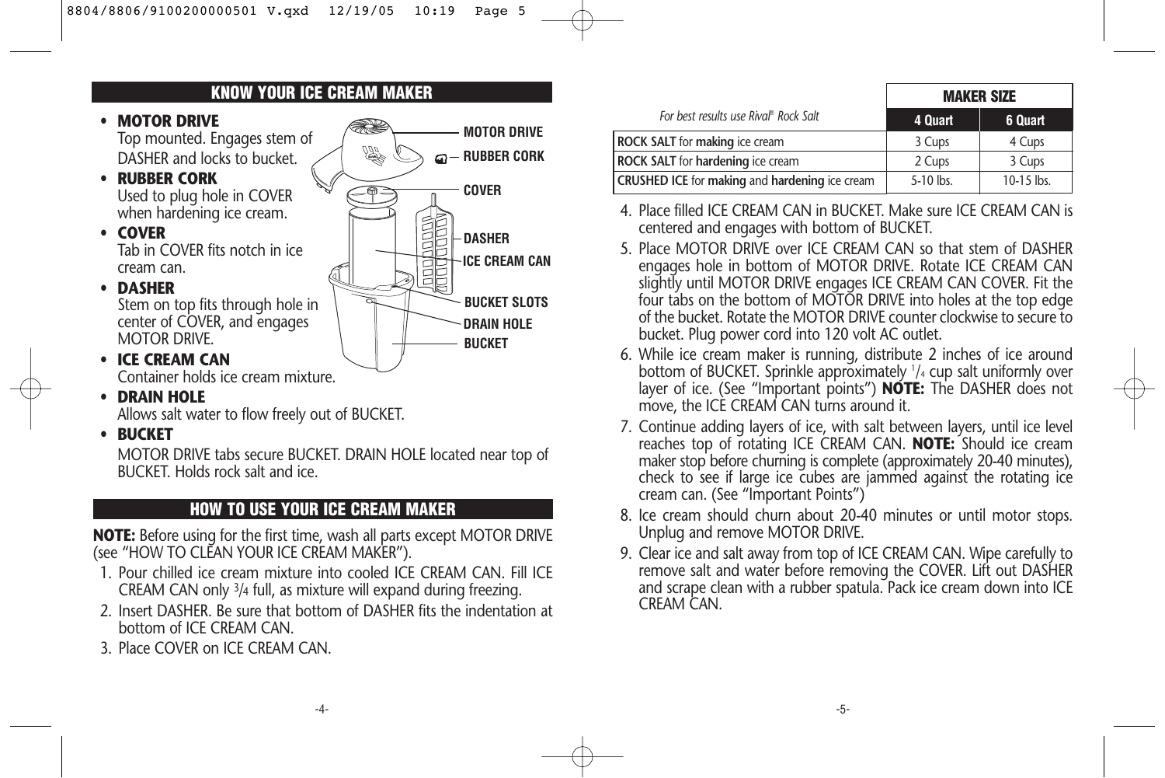# **KNOW YOUR ICE CREAM MAKER**

- **MOTOR DRIVE** Top mounted. Engages stem of DASHER and locks to bucket.
- **RUBBER CORK** Used to plug hole in COVER when hardening ice cream.

• **COVER** Tab in COVER fits notch in ice cream can.

• **DASHER**

Stem on top fits through hole in center of COVER, and engages MOTOR DRIVE.



**MOTOR DRIVE**

**RUBBER CORK**

Container holds ice cream mixture.

• **DRAIN HOLE**

• **ICE CREAM CAN**

Allows salt water to flow freely out of BUCKET.

• **BUCKET**

MOTOR DRIVE tabs secure BUCKET. DRAIN HOLE located near top of BUCKET. Holds rock salt and ice.

## **HOW TO USE YOUR ICE CREAM MAKER**

**NOTE:** Before using for the first time, wash all parts except MOTOR DRIVE (see "HOW TO CLEAN YOUR ICE CREAM MAKER").

- 1. Pour chilled ice cream mixture into cooled ICE CREAM CAN. Fill ICE CREAM CAN only 3/4 full, as mixture will expand during freezing.
- 2. Insert DASHER. Be sure that bottom of DASHER fits the indentation at bottom of ICE CREAM CAN.
- 3. Place COVER on ICE CREAM CAN.

|                                                       | <b>MAKER SIZE</b> |            |
|-------------------------------------------------------|-------------------|------------|
| For best results use Rival® Rock Salt                 | 4 Quart           | 6 Quart    |
| <b>ROCK SALT</b> for making ice cream                 | 3 Cups            | 4 Cups     |
| <b>ROCK SALT</b> for hardening ice cream              | 2 Cups            | 3 Cups     |
| <b>CRUSHED ICE for making and hardening ice cream</b> | 5-10 lbs.         | 10-15 lbs. |

- 4. Place filled ICE CREAM CAN in BUCKET. Make sure ICE CREAM CAN is centered and engages with bottom of BUCKET.
- 5. Place MOTOR DRIVE over ICE CREAM CAN so that stem of DASHER engages hole in bottom of MOTOR DRIVE. Rotate ICE CREAM CAN slightly until MOTOR DRIVE engages ICE CREAM CAN COVER. Fit the four tabs on the bottom of MOTOR DRIVE into holes at the top edge of the bucket. Rotate the MOTOR DRIVE counter clockwise to secure to bucket. Plug power cord into 120 volt AC outlet.
- 6. While ice cream maker is running, distribute 2 inches of ice around bottom of BUCKET. Sprinkle approximately 1 /4 cup salt uniformly over layer of ice. (See "Important points") **NOTE:** The DASHER does not move, the ICE CREAM CAN turns around it.
- 7. Continue adding layers of ice, with salt between layers, until ice level reaches top of rotating ICE CREAM CAN. **NOTE:** Should ice cream maker stop before churning is complete (approximately 20-40 minutes), check to see if large ice cubes are jammed against the rotating ice cream can. (See "Important Points")
- 8. Ice cream should churn about 20-40 minutes or until motor stops. Unplug and remove MOTOR DRIVE.
- 9. Clear ice and salt away from top of ICE CREAM CAN. Wipe carefully to remove salt and water before removing the COVER. Lift out DASHER and scrape clean with a rubber spatula. Pack ice cream down into ICE CREAM CAN.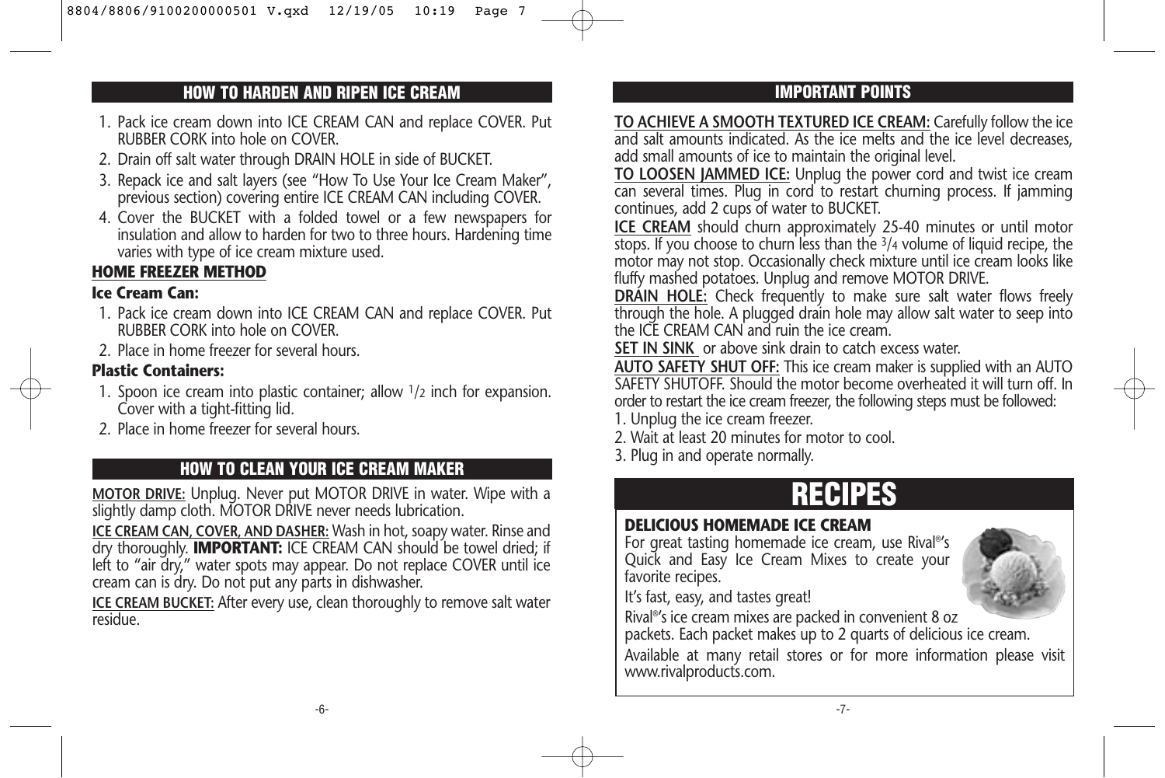# **HOW TO HARDEN AND RIPEN ICE CREAM IMPORTANT POINTS**

- 1. Pack ice cream down into ICE CREAM CAN and replace COVER. Put RUBBER CORK into hole on COVER.
- 2. Drain off salt water through DRAIN HOLE in side of BUCKET.
- 3. Repack ice and salt layers (see "How To Use Your Ice Cream Maker", previous section) covering entire ICE CREAM CAN including COVER.
- 4. Cover the BUCKET with a folded towel or a few newspapers for insulation and allow to harden for two to three hours. Hardening time varies with type of ice cream mixture used.

#### **HOME FREEZER METHOD**

#### **Ice Cream Can:**

- 1. Pack ice cream down into ICE CREAM CAN and replace COVER. Put RUBBER CORK into hole on COVER.
- 2. Place in home freezer for several hours.

#### **Plastic Containers:**

- 1. Spoon ice cream into plastic container; allow 1/2 inch for expansion. Cover with a tight-fitting lid.
- 2. Place in home freezer for several hours.

# 3. Plug in and operate normally. **HOW TO CLEAN YOUR ICE CREAM MAKER**

**MOTOR DRIVE:** Unplug. Never put MOTOR DRIVE in water. Wipe with a slightly damp cloth. MOTOR DRIVE never needs lubrication.

**ICE CREAM CAN, COVER, AND DASHER:** Wash in hot, soapy water. Rinse and dry thoroughly. **IMPORTANT:** ICE CREAM CAN should be towel dried; if left to "air dry," water spots may appear. Do not replace COVER until ice cream can is dry. Do not put any parts in dishwasher.

**ICE CREAM BUCKET:** After every use, clean thoroughly to remove salt water residue.

**TO ACHIEVE A SMOOTH TEXTURED ICE CREAM:** Carefully follow the ice and salt amounts indicated. As the ice melts and the ice level decreases, add small amounts of ice to maintain the original level.

**TO LOOSEN JAMMED ICE:** Unplug the power cord and twist ice cream can several times. Plug in cord to restart churning process. If jamming continues, add 2 cups of water to BUCKET.

**ICE CREAM** should churn approximately 25-40 minutes or until motor stops. If you choose to churn less than the  $\frac{3}{4}$  volume of liquid recipe, the motor may not stop. Occasionally check mixture until ice cream looks like fluffy mashed potatoes. Unplug and remove MOTOR DRIVE.

**DRAIN HOLE:** Check frequently to make sure salt water flows freely through the hole. A plugged drain hole may allow salt water to seep into the ICE CREAM CAN and ruin the ice cream.

**SET IN SINK** or above sink drain to catch excess water.

**AUTO SAFETY SHUT OFF:** This ice cream maker is supplied with an AUTO SAFETY SHUTOFF. Should the motor become overheated it will turn off. In order to restart the ice cream freezer, the following steps must be followed: 1. Unplug the ice cream freezer.

2. Wait at least 20 minutes for motor to cool.

# **RECIPES**

#### **DELICIOUS HOMEMADE ICE CREAM**

For great tasting homemade ice cream, use Rival®'s Quick and Easy Ice Cream Mixes to create your favorite recipes.

It's fast, easy, and tastes great!

Rival®'s ice cream mixes are packed in convenient 8 oz

packets. Each packet makes up to 2 quarts of delicious ice cream.

Available at many retail stores or for more information please visit www.rivalproducts.com.

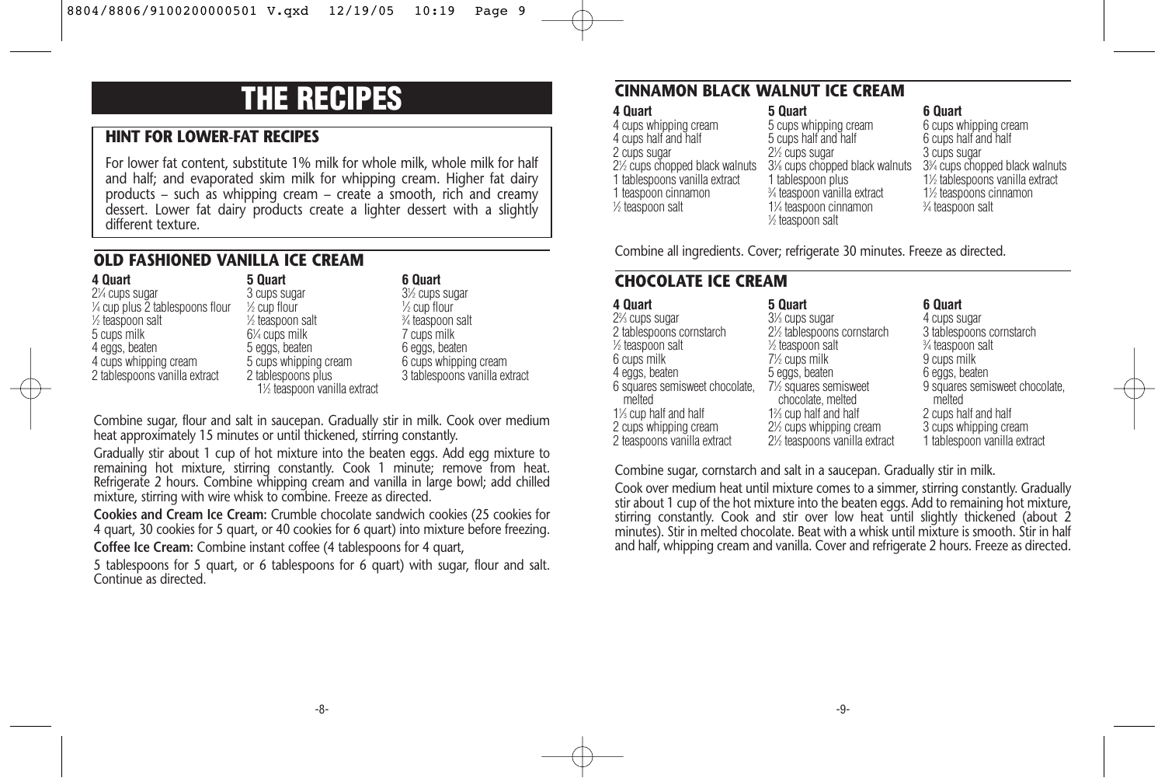# **THE RECIPES**

#### **HINT FOR LOWER-FAT RECIPES**

For lower fat content, substitute 1% milk for whole milk, whole milk for half and half; and evaporated skim milk for whipping cream. Higher fat dairy products – such as whipping cream – create a smooth, rich and creamy dessert. Lower fat dairy products create a lighter dessert with a slightly different texture.

#### **OLD FASHIONED VANILLA ICE CREAM**

**4 Quart** 21 ⁄4 cups sugar 1 ⁄4 cup plus 2 tablespoons flour 1 ⁄2 teaspoon salt 5 cups milk 4 eggs, beaten 4 cups whipping cream 2 tablespoons vanilla extract

**5 Quart** 3 cups sugar 1 ⁄2 cup flour 1 ⁄2 teaspoon salt 61 ⁄4 cups milk 5 eggs, beaten 5 cups whipping cream 2 tablespoons plus 11 ⁄2 teaspoon vanilla extract

#### **6 Quart** 31 ⁄2 cups sugar 1 ⁄2 cup flour 3 ⁄4 teaspoon salt 7 cups milk 6 eggs, beaten 6 cups whipping cream 3 tablespoons vanilla extract

Combine sugar, flour and salt in saucepan. Gradually stir in milk. Cook over medium heat approximately 15 minutes or until thickened, stirring constantly.

Gradually stir about 1 cup of hot mixture into the beaten eggs. Add egg mixture to remaining hot mixture, stirring constantly. Cook 1 minute; remove from heat. Refrigerate 2 hours. Combine whipping cream and vanilla in large bowl; add chilled mixture, stirring with wire whisk to combine. Freeze as directed.

**Cookies and Cream Ice Cream:** Crumble chocolate sandwich cookies (25 cookies for 4 quart, 30 cookies for 5 quart, or 40 cookies for 6 quart) into mixture before freezing. **Coffee Ice Cream:** Combine instant coffee (4 tablespoons for 4 quart,

5 tablespoons for 5 quart, or 6 tablespoons for 6 quart) with sugar, flour and salt. Continue as directed.

#### **CINNAMON BLACK WALNUT ICE CREAM**

#### **4 Quart** 4 cups whipping cream 4 cups half and half 2 cups sugar 21 ⁄2 cups chopped black walnuts 1 tablespoons vanilla extract 1 teaspoon cinnamon 1 ⁄2 teaspoon salt

#### **5 Quart** 5 cups whipping cream 5 cups half and half 2<sup>1/2</sup> cups sugar 31 ⁄8 cups chopped black walnuts 1 tablespoon plus 3 ⁄4 teaspoon vanilla extract 11 ⁄4 teaspoon cinnamon 1 ⁄2 teaspoon salt

**6 Quart** 6 cups whipping cream 6 cups half and half 3 cups sugar 33 ⁄4 cups chopped black walnuts 11 ⁄2 tablespoons vanilla extract 11 ⁄2 teaspoons cinnamon 3 ⁄4 teaspoon salt

Combine all ingredients. Cover; refrigerate 30 minutes. Freeze as directed.

### **CHOCOLATE ICE CREAM**

| 5 Quart                                   | 6 Quart                                  |
|-------------------------------------------|------------------------------------------|
| 3 <sup>1</sup> / <sub>3</sub> cups sugar  | 4 cups sugar                             |
| 2½ tablespoons cornstarch                 | 3 tablespoons cornstarch                 |
| 1/ <sub>2</sub> teaspoon salt             | 3⁄4 teaspoon salt                        |
| 7 <sup>1/2</sup> cups milk                | 9 cups milk                              |
| 5 eggs, beaten                            | 6 eggs, beaten                           |
| 7½ squares semisweet<br>chocolate, melted | 9 squares semisweet chocolate.<br>melted |
| 1% cup half and half                      | 2 cups half and half                     |
| 2½ cups whipping cream                    | 3 cups whipping cream                    |
| 2½ teaspoons vanilla extract              | 1 tablespoon vanilla extract             |
|                                           |                                          |

Combine sugar, cornstarch and salt in a saucepan. Gradually stir in milk.

Cook over medium heat until mixture comes to a simmer, stirring constantly. Gradually stir about 1 cup of the hot mixture into the beaten eggs. Add to remaining hot mixture, stirring constantly. Cook and stir over low heat until slightly thickened (about 2 minutes). Stir in melted chocolate. Beat with a whisk until mixture is smooth. Stir in half and half, whipping cream and vanilla. Cover and refrigerate 2 hours. Freeze as directed.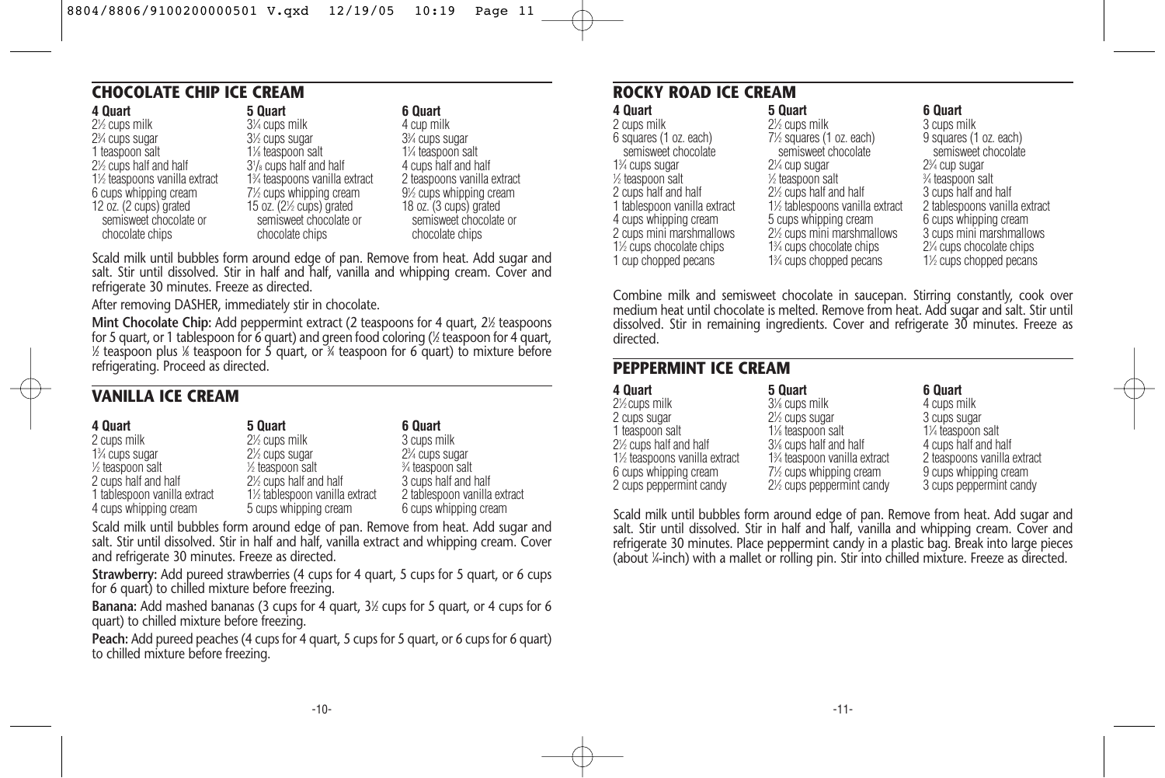#### **CHOCOLATE CHIP ICE CREAM**

| 4 Quart                                          | 5 Quart                                                       | 6 Quart                                          |
|--------------------------------------------------|---------------------------------------------------------------|--------------------------------------------------|
| 2 <sup>1/2</sup> cups milk                       | 3¼ cups milk                                                  | 4 cup milk                                       |
| 2 <sup>3</sup> / <sub>4</sub> cups sugar         | 3 <sup>1/2</sup> cups sugar                                   | 3 <sup>3</sup> / <sub>4</sub> cups sugar         |
| 1 teaspoon salt                                  | 1% teaspoon salt                                              | 1¼ teaspoon salt                                 |
| 2 <sup>1/2</sup> cups half and half              | $3\frac{1}{8}$ cups half and half                             | 4 cups half and half                             |
| 1½ teaspoons vanilla extract                     | 1% teaspoons vanilla extract                                  | 2 teaspoons vanilla extract                      |
| 6 cups whipping cream                            | 7½ cups whipping cream                                        | 9½ cups whipping cream                           |
| 12 oz. (2 cups) grated<br>semisweet chocolate or | 15 oz. $(2\frac{1}{2}$ cups) grated<br>semisweet chocolate or | 18 oz. (3 cups) grated<br>semisweet chocolate or |
| chocolate chips                                  | chocolate chips                                               | chocolate chips                                  |
|                                                  |                                                               |                                                  |

Scald milk until bubbles form around edge of pan. Remove from heat. Add sugar and salt. Stir until dissolved. Stir in half and half, vanilla and whipping cream. Cover and refrigerate 30 minutes. Freeze as directed.

After removing DASHER, immediately stir in chocolate.

**Mint Chocolate Chip:** Add peppermint extract (2 teaspoons for 4 quart, 2½ teaspoons for 5 quart, or 1 tablespoon for 6 quart) and green food coloring (1 ⁄2 teaspoon for 4 quart, 1 ⁄2 teaspoon plus 1 ⁄8 teaspoon for 5 quart, or 3 ⁄4 teaspoon for 6 quart) to mixture before refrigerating. Proceed as directed.

#### **VANILLA ICE CREAM**

| 4 Quart                                  | 5 Quart                                  | 6 Quart                                  |
|------------------------------------------|------------------------------------------|------------------------------------------|
| 2 cups milk                              | 2 <sup>1/2</sup> cups milk               | 3 cups milk                              |
| 1 <sup>3</sup> / <sub>4</sub> cups sugar | 2 <sup>1</sup> / <sub>2</sub> cups sugar | 2 <sup>3</sup> / <sub>4</sub> cups sugar |
| 1/ <sub>2</sub> teaspoon salt            | $\frac{1}{2}$ teaspoon salt              | 3⁄4 teaspoon salt                        |
| 2 cups half and half                     | 2½ cups half and half                    | 3 cups half and half                     |
| 1 tablespoon vanilla extract             | 1½ tablespoon vanilla extract            | 2 tablespoon vanilla extract             |
| 4 cups whipping cream                    | 5 cups whipping cream                    | 6 cups whipping cream                    |

Scald milk until bubbles form around edge of pan. Remove from heat. Add sugar and salt. Stir until dissolved. Stir in half and half, vanilla extract and whipping cream. Cover and refrigerate 30 minutes. Freeze as directed.

**Strawberry:** Add pureed strawberries (4 cups for 4 quart, 5 cups for 5 quart, or 6 cups for 6 quart) to chilled mixture before freezing.

**Banana:** Add mashed bananas (3 cups for 4 quart, 3<sup>1</sup>/<sub>2</sub> cups for 5 quart, or 4 cups for 6 quart) to chilled mixture before freezing.

**Peach:** Add pureed peaches (4 cups for 4 quart, 5 cups for 5 quart, or 6 cups for 6 quart) to chilled mixture before freezing.

#### **ROCKY ROAD ICE CREAM**

| 5 Quart                                              | 6 Quart                                           |
|------------------------------------------------------|---------------------------------------------------|
| 2 <sup>1/2</sup> cups milk                           | 3 cups milk                                       |
| 7½ squares (1 oz. each)                              | 9 squares (1 oz. each)                            |
| semisweet chocolate                                  | semisweet chocolate                               |
| 2 <sup>1</sup> / <sub>4</sub> cup sugar              | 2 <sup>3</sup> / <sub>4</sub> cup sugar           |
| 1/ <sub>2</sub> teaspoon salt                        | % teaspoon salt                                   |
| 2 <sup>1/2</sup> cups half and half                  | 3 cups half and half                              |
| 1½ tablespoons vanilla extract                       | 2 tablespoons vanilla extract                     |
| 5 cups whipping cream                                | 6 cups whipping cream                             |
| 2 <sup>1</sup> / <sub>2</sub> cups mini marshmallows | 3 cups mini marshmallows                          |
|                                                      | 2¼ cups chocolate chips                           |
|                                                      | 1 <sup>/2</sup> cups chopped pecans               |
|                                                      | 1% cups chocolate chips<br>1% cups chopped pecans |

Combine milk and semisweet chocolate in saucepan. Stirring constantly, cook over medium heat until chocolate is melted. Remove from heat. Add sugar and salt. Stir until dissolved. Stir in remaining ingredients. Cover and refrigerate 30 minutes. Freeze as directed.

#### **PEPPERMINT ICE CREAM**

| 4 Quart                      | 5 Quart                                             | 6 Quart                     |
|------------------------------|-----------------------------------------------------|-----------------------------|
| $2\frac{1}{2}$ cups milk     | 3% cups milk                                        | 4 cups milk                 |
| 2 cups sugar                 | 2 <sup>1/2</sup> cups sugar                         | 3 cups sugar                |
| 1 teaspoon salt              | 1% teaspoon salt                                    | 1¼ teaspoon salt            |
| 2% cups half and half        | 3% cups half and half                               | 4 cups half and half        |
| 1½ teaspoons vanilla extract | 1% teaspoon vanilla extract                         | 2 teaspoons vanilla extract |
| 6 cups whipping cream        | 7½ cups whipping cream                              | 9 cups whipping cream       |
| 2 cups peppermint candy      | 2 <sup>1</sup> / <sub>2</sub> cups peppermint candy | 3 cups peppermint candy     |

Scald milk until bubbles form around edge of pan. Remove from heat. Add sugar and salt. Stir until dissolved. Stir in half and half, vanilla and whipping cream. Cover and refrigerate 30 minutes. Place peppermint candy in a plastic bag. Break into large pieces (about 1 ⁄4-inch) with a mallet or rolling pin. Stir into chilled mixture. Freeze as directed.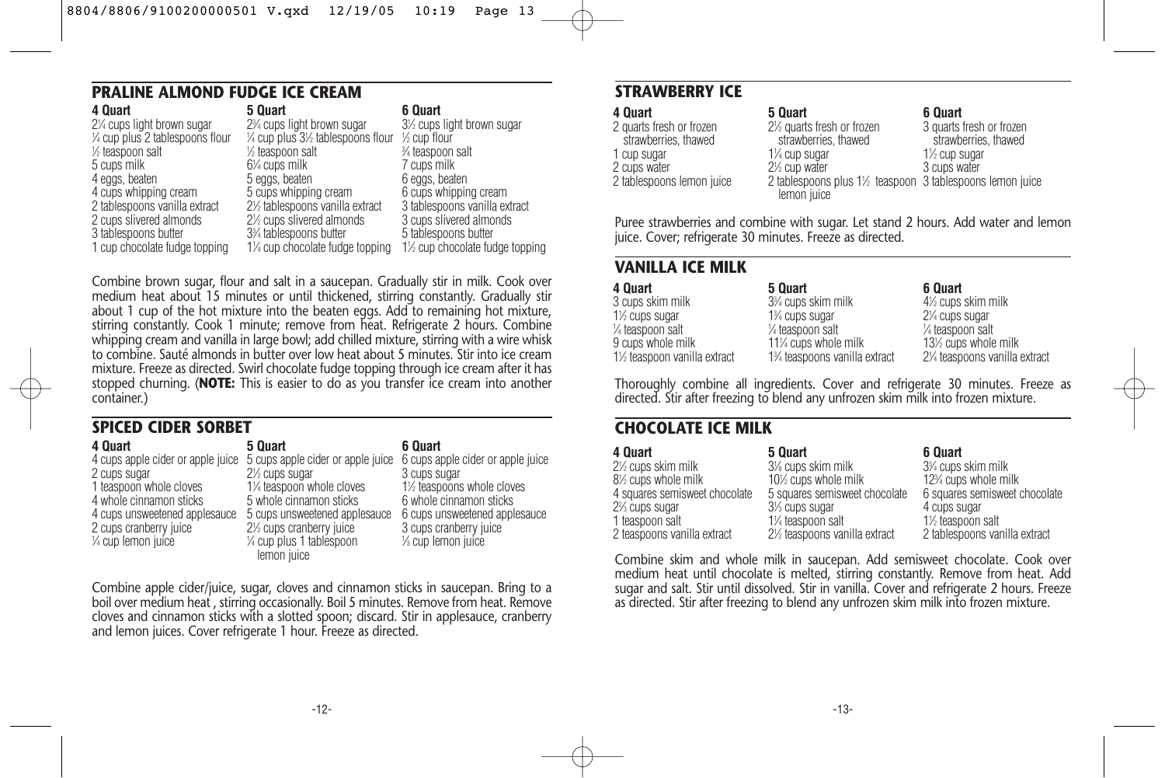# **PRALINE ALMOND FUDGE ICE CREAM**

| 4 Quart                          | 5 Quart                                                 | 6 Quart                        |
|----------------------------------|---------------------------------------------------------|--------------------------------|
| 2¼ cups light brown sugar        | 2 <sup>3</sup> / <sub>4</sub> cups light brown sugar    | 3½ cups light brown sugar      |
| 1⁄4 cup plus 2 tablespoons flour | $\frac{1}{4}$ cup plus $3\frac{1}{2}$ tablespoons flour | $\frac{1}{2}$ cup flour        |
| ½ teaspoon salt                  | 1/ <sub>2</sub> teaspoon salt                           | 3⁄4 teaspoon salt              |
| 5 cups milk                      | $6\%$ cups milk                                         | 7 cups milk                    |
| 4 eggs, beaten                   | 5 eggs, beaten                                          | 6 eggs, beaten                 |
| 4 cups whipping cream            | 5 cups whipping cream                                   | 6 cups whipping cream          |
| 2 tablespoons vanilla extract    | 2½ tablespoons vanilla extract                          | 3 tablespoons vanilla extract  |
| 2 cups slivered almonds          | 2½ cups slivered almonds                                | 3 cups slivered almonds        |
| 3 tablespoons butter             | 3% tablespoons butter                                   | 5 tablespoons butter           |
| 1 cup chocolate fudge topping    | 1¼ cup chocolate fudge topping                          | 1½ cup chocolate fudge topping |
|                                  |                                                         |                                |

Combine brown sugar, flour and salt in a saucepan. Gradually stir in milk. Cook over medium heat about 15 minutes or until thickened, stirring constantly. Gradually stir about 1 cup of the hot mixture into the beaten eggs. Add to remaining hot mixture, stirring constantly. Cook 1 minute; remove from heat. Refrigerate 2 hours. Combine whipping cream and vanilla in large bowl; add chilled mixture, stirring with a wire whisk to combine. Sauté almonds in butter over low heat about 5 minutes. Stir into ice cream mixture. Freeze as directed. Swirl chocolate fudge topping through ice cream after it has stopped churning. (**NOTE:** This is easier to do as you transfer ice cream into another container.)

#### **SPICED CIDER SORBET**

| 4 Quart                           | 5 Quart                                                             | 6 Quart                         |
|-----------------------------------|---------------------------------------------------------------------|---------------------------------|
| 4 cups apple cider or apple juice | 5 cups apple cider or apple juice 6 cups apple cider or apple juice |                                 |
| 2 cups sugar                      | 2 <sup>1/2</sup> cups sugar                                         | 3 cups sugar                    |
| 1 teaspoon whole cloves           | 1¼ teaspoon whole cloves                                            | 1½ teaspoons whole cloves       |
| 4 whole cinnamon sticks           | 5 whole cinnamon sticks                                             | 6 whole cinnamon sticks         |
| 4 cups unsweetened applesauce     | 5 cups unsweetened applesauce                                       | 6 cups unsweetened applesauce   |
| 2 cups cranberry juice            | 2 <sup>1</sup> / <sub>2</sub> cups cranberry juice                  | 3 cups cranberry juice          |
| 1/4 cup lemon juice               | 1/4 cup plus 1 tablespoon                                           | 1/ <sub>3</sub> cup lemon juice |
|                                   | lemon juice                                                         |                                 |

Combine apple cider/juice, sugar, cloves and cinnamon sticks in saucepan. Bring to a boil over medium heat , stirring occasionally. Boil 5 minutes. Remove from heat. Remove cloves and cinnamon sticks with a slotted spoon; discard. Stir in applesauce, cranberry and lemon juices. Cover refrigerate 1 hour. Freeze as directed.

### **STRAWBERRY ICE**

| 4 Ouart                   |
|---------------------------|
| 2 quarts fresh or frozen  |
| strawberries, thawed      |
| 1 cup sugar               |
| 2 cups water              |
| 2 tablespoons lemon juice |
|                           |

#### **6 Quart**

21 ⁄2 quarts fresh or frozen strawberries, thawed 2 tablespoons plus 11 ⁄2 teaspoon 3 tablespoons lemon juice 3 quarts fresh or frozen strawberries, thawed 11 ⁄2 cup sugar 3 cups water

Puree strawberries and combine with sugar. Let stand 2 hours. Add water and lemon juice. Cover; refrigerate 30 minutes. Freeze as directed.

**5 Quart**

11 ⁄4 cup sugar 2<sup>1/2</sup> cup water

lemon juice

#### **VANILLA ICE MILK**

| 4 Quart                     | 5 Quart                                      | 6 Quart                         |
|-----------------------------|----------------------------------------------|---------------------------------|
| 3 cups skim milk            | 3 <sup>3</sup> / <sub>4</sub> cups skim milk | 4 <sup>1/2</sup> cups skim milk |
| 1 <sup>/2</sup> cups sugar  | 1 <sup>3</sup> / <sub>4</sub> cups sugar     | 2¼ cups sugar                   |
| 1⁄4 teaspoon salt           | 1/4 teaspoon salt                            | 1/ <sub>4</sub> teaspoon salt   |
| 9 cups whole milk           | 11% cups whole milk                          | 13½ cups whole milk             |
| 1½ teaspoon vanilla extract | 1% teaspoons vanilla extract                 | 2¼ teaspoons vanilla extract    |

Thoroughly combine all ingredients. Cover and refrigerate 30 minutes. Freeze as directed. Stir after freezing to blend any unfrozen skim milk into frozen mixture.

#### **CHOCOLATE ICE MILK**

| 4 Quart                       | 5 Quart                                  | 6 Quart                                        |
|-------------------------------|------------------------------------------|------------------------------------------------|
| 2½ cups skim milk             | 3% cups skim milk                        | 3 <sup>3</sup> / <sub>4</sub> cups skim milk   |
| 8½ cups whole milk            | 10 <sup>%</sup> cups whole milk          | 12 <sup>3</sup> / <sub>4</sub> cups whole milk |
| 4 squares semisweet chocolate | 5 squares semisweet chocolate            | 6 squares semisweet chocolate                  |
| 2% cups sugar                 | 3 <sup>1</sup> / <sub>3</sub> cups sugar | 4 cups sugar                                   |
| 1 teaspoon salt               | 1¼ teaspoon salt                         | 1 <sup>1</sup> / <sub>2</sub> teaspoon salt    |
| 2 teaspoons vanilla extract   | 2½ teaspoons vanilla extract             | 2 tablespoons vanilla extract                  |

Combine skim and whole milk in saucepan. Add semisweet chocolate. Cook over medium heat until chocolate is melted, stirring constantly. Remove from heat. Add sugar and salt. Stir until dissolved. Stir in vanilla. Cover and refrigerate 2 hours. Freeze as directed. Stir after freezing to blend any unfrozen skim milk into frozen mixture.